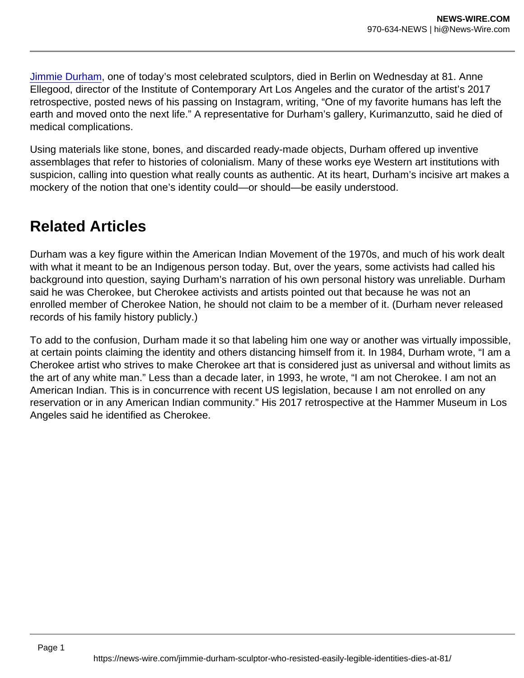[Jimmie Durham](https://www.artnews.com/t/jimmie-durham/), one of today's most celebrated sculptors, died in Berlin on Wednesday at 81. Anne Ellegood, director of the Institute of Contemporary Art Los Angeles and the curator of the artist's 2017 retrospective, posted news of his passing on Instagram, writing, "One of my favorite humans has left the earth and moved onto the next life." A representative for Durham's gallery, Kurimanzutto, said he died of medical complications.

Using materials like stone, bones, and discarded ready-made objects, Durham offered up inventive assemblages that refer to histories of colonialism. Many of these works eye Western art institutions with suspicion, calling into question what really counts as authentic. At its heart, Durham's incisive art makes a mockery of the notion that one's identity could—or should—be easily understood.

## Related Articles

Durham was a key figure within the American Indian Movement of the 1970s, and much of his work dealt with what it meant to be an Indigenous person today. But, over the years, some activists had called his background into question, saying Durham's narration of his own personal history was unreliable. Durham said he was Cherokee, but Cherokee activists and artists pointed out that because he was not an enrolled member of Cherokee Nation, he should not claim to be a member of it. (Durham never released records of his family history publicly.)

To add to the confusion, Durham made it so that labeling him one way or another was virtually impossible, at certain points claiming the identity and others distancing himself from it. In 1984, Durham wrote, "I am a Cherokee artist who strives to make Cherokee art that is considered just as universal and without limits as the art of any white man." Less than a decade later, in 1993, he wrote, "I am not Cherokee. I am not an American Indian. This is in concurrence with recent US legislation, because I am not enrolled on any reservation or in any American Indian community." His 2017 retrospective at the Hammer Museum in Los Angeles said he identified as Cherokee.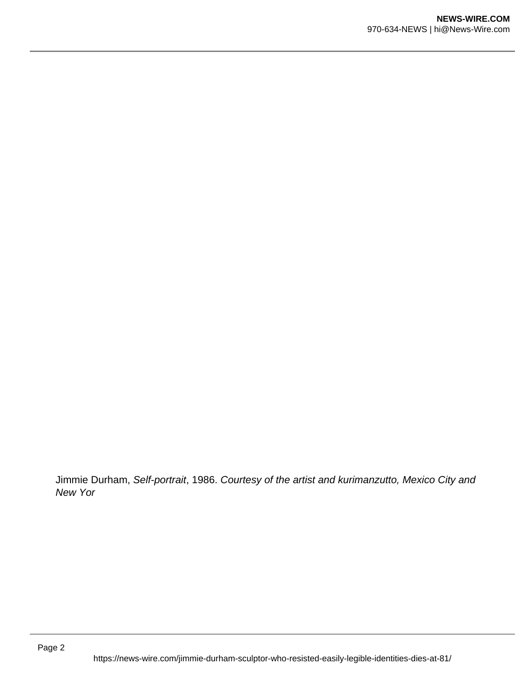Jimmie Durham, Self-portrait, 1986. Courtesy of the artist and kurimanzutto, Mexico City and New Yor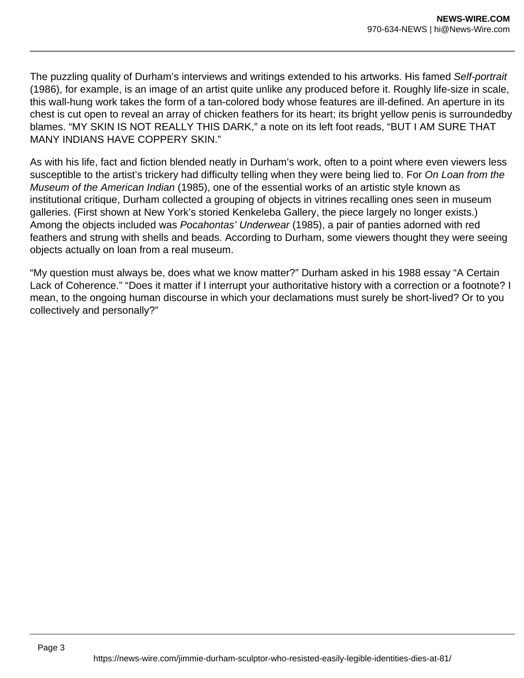The puzzling quality of Durham's interviews and writings extended to his artworks. His famed Self-portrait (1986), for example, is an image of an artist quite unlike any produced before it. Roughly life-size in scale, this wall-hung work takes the form of a tan-colored body whose features are ill-defined. An aperture in its chest is cut open to reveal an array of chicken feathers for its heart; its bright yellow penis is surroundedby blames. "MY SKIN IS NOT REALLY THIS DARK," a note on its left foot reads, "BUT I AM SURE THAT MANY INDIANS HAVE COPPERY SKIN."

As with his life, fact and fiction blended neatly in Durham's work, often to a point where even viewers less susceptible to the artist's trickery had difficulty telling when they were being lied to. For On Loan from the Museum of the American Indian (1985), one of the essential works of an artistic style known as institutional critique, Durham collected a grouping of objects in vitrines recalling ones seen in museum galleries. (First shown at New York's storied Kenkeleba Gallery, the piece largely no longer exists.) Among the objects included was Pocahontas' Underwear (1985), a pair of panties adorned with red feathers and strung with shells and beads. According to Durham, some viewers thought they were seeing objects actually on loan from a real museum.

"My question must always be, does what we know matter?" Durham asked in his 1988 essay "A Certain Lack of Coherence." "Does it matter if I interrupt your authoritative history with a correction or a footnote? I mean, to the ongoing human discourse in which your declamations must surely be short-lived? Or to you collectively and personally?"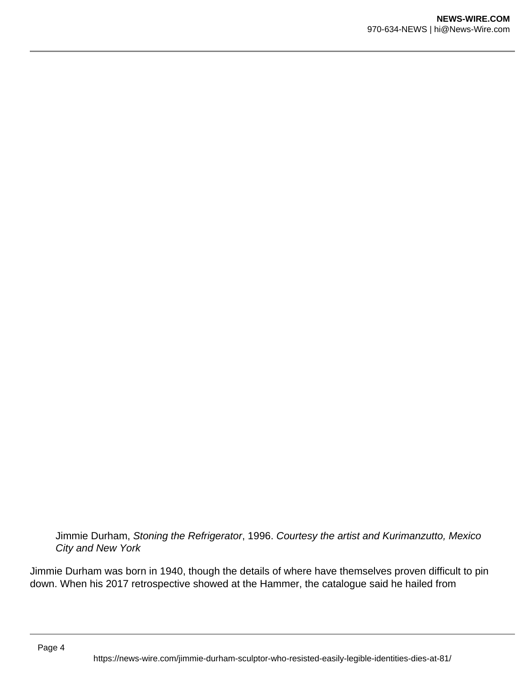Jimmie Durham, Stoning the Refrigerator, 1996. Courtesy the artist and Kurimanzutto, Mexico City and New York

Jimmie Durham was born in 1940, though the details of where have themselves proven difficult to pin down. When his 2017 retrospective showed at the Hammer, the catalogue said he hailed from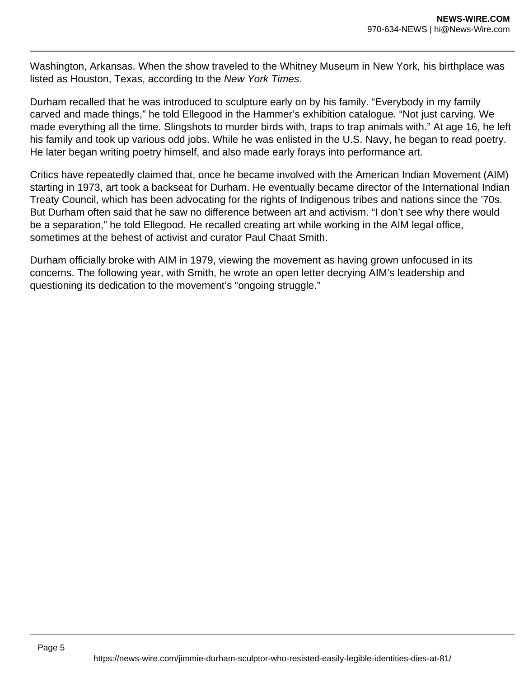Washington, Arkansas. When the show traveled to the Whitney Museum in New York, his birthplace was listed as Houston, Texas, according to the New York Times.

Durham recalled that he was introduced to sculpture early on by his family. "Everybody in my family carved and made things," he told Ellegood in the Hammer's exhibition catalogue. "Not just carving. We made everything all the time. Slingshots to murder birds with, traps to trap animals with." At age 16, he left his family and took up various odd jobs. While he was enlisted in the U.S. Navy, he began to read poetry. He later began writing poetry himself, and also made early forays into performance art.

Critics have repeatedly claimed that, once he became involved with the American Indian Movement (AIM) starting in 1973, art took a backseat for Durham. He eventually became director of the International Indian Treaty Council, which has been advocating for the rights of Indigenous tribes and nations since the '70s. But Durham often said that he saw no difference between art and activism. "I don't see why there would be a separation," he told Ellegood. He recalled creating art while working in the AIM legal office, sometimes at the behest of activist and curator Paul Chaat Smith.

Durham officially broke with AIM in 1979, viewing the movement as having grown unfocused in its concerns. The following year, with Smith, he wrote an open letter decrying AIM's leadership and questioning its dedication to the movement's "ongoing struggle."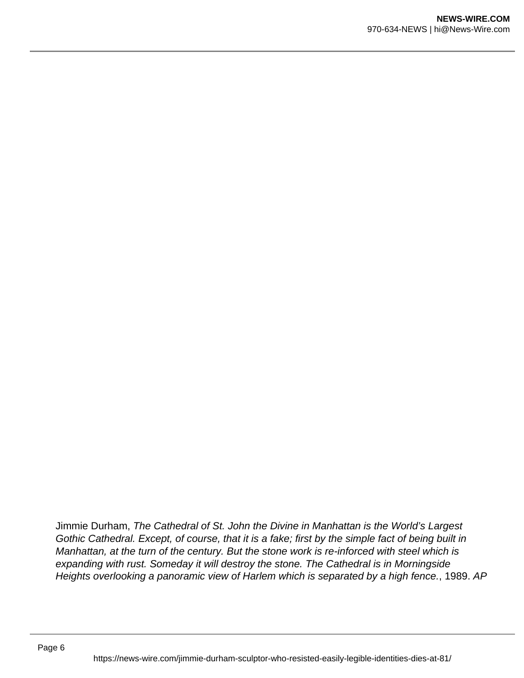Jimmie Durham, The Cathedral of St. John the Divine in Manhattan is the World's Largest Gothic Cathedral. Except, of course, that it is a fake; first by the simple fact of being built in Manhattan, at the turn of the century. But the stone work is re-inforced with steel which is expanding with rust. Someday it will destroy the stone. The Cathedral is in Morningside Heights overlooking a panoramic view of Harlem which is separated by a high fence., 1989. AP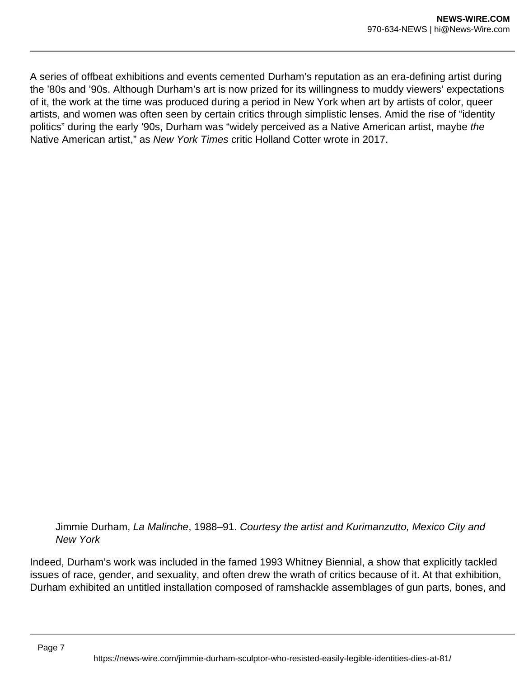A series of offbeat exhibitions and events cemented Durham's reputation as an era-defining artist during the '80s and '90s. Although Durham's art is now prized for its willingness to muddy viewers' expectations of it, the work at the time was produced during a period in New York when art by artists of color, queer artists, and women was often seen by certain critics through simplistic lenses. Amid the rise of "identity politics" during the early '90s, Durham was "widely perceived as a Native American artist, maybe the Native American artist," as New York Times critic Holland Cotter wrote in 2017.

Jimmie Durham, La Malinche, 1988–91. Courtesy the artist and Kurimanzutto, Mexico City and New York

Indeed, Durham's work was included in the famed 1993 Whitney Biennial, a show that explicitly tackled issues of race, gender, and sexuality, and often drew the wrath of critics because of it. At that exhibition, Durham exhibited an untitled installation composed of ramshackle assemblages of gun parts, bones, and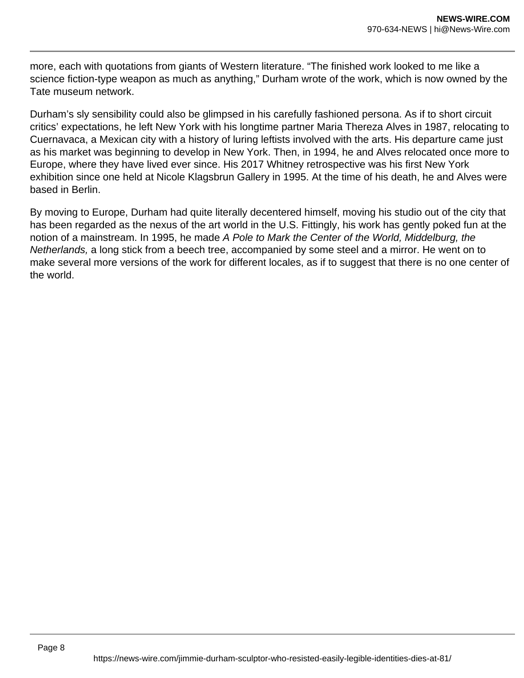more, each with quotations from giants of Western literature. "The finished work looked to me like a science fiction-type weapon as much as anything," Durham wrote of the work, which is now owned by the Tate museum network.

Durham's sly sensibility could also be glimpsed in his carefully fashioned persona. As if to short circuit critics' expectations, he left New York with his longtime partner Maria Thereza Alves in 1987, relocating to Cuernavaca, a Mexican city with a history of luring leftists involved with the arts. His departure came just as his market was beginning to develop in New York. Then, in 1994, he and Alves relocated once more to Europe, where they have lived ever since. His 2017 Whitney retrospective was his first New York exhibition since one held at Nicole Klagsbrun Gallery in 1995. At the time of his death, he and Alves were based in Berlin.

By moving to Europe, Durham had quite literally decentered himself, moving his studio out of the city that has been regarded as the nexus of the art world in the U.S. Fittingly, his work has gently poked fun at the notion of a mainstream. In 1995, he made A Pole to Mark the Center of the World, Middelburg, the Netherlands, a long stick from a beech tree, accompanied by some steel and a mirror. He went on to make several more versions of the work for different locales, as if to suggest that there is no one center of the world.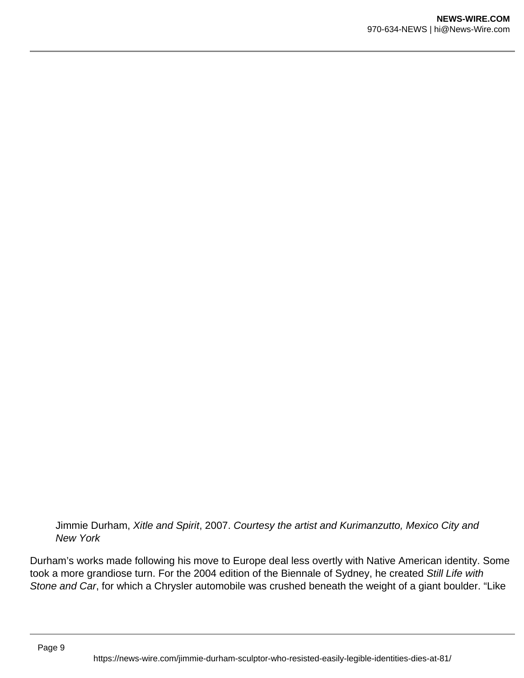Jimmie Durham, Xitle and Spirit, 2007. Courtesy the artist and Kurimanzutto, Mexico City and New York

Durham's works made following his move to Europe deal less overtly with Native American identity. Some took a more grandiose turn. For the 2004 edition of the Biennale of Sydney, he created Still Life with Stone and Car, for which a Chrysler automobile was crushed beneath the weight of a giant boulder. "Like